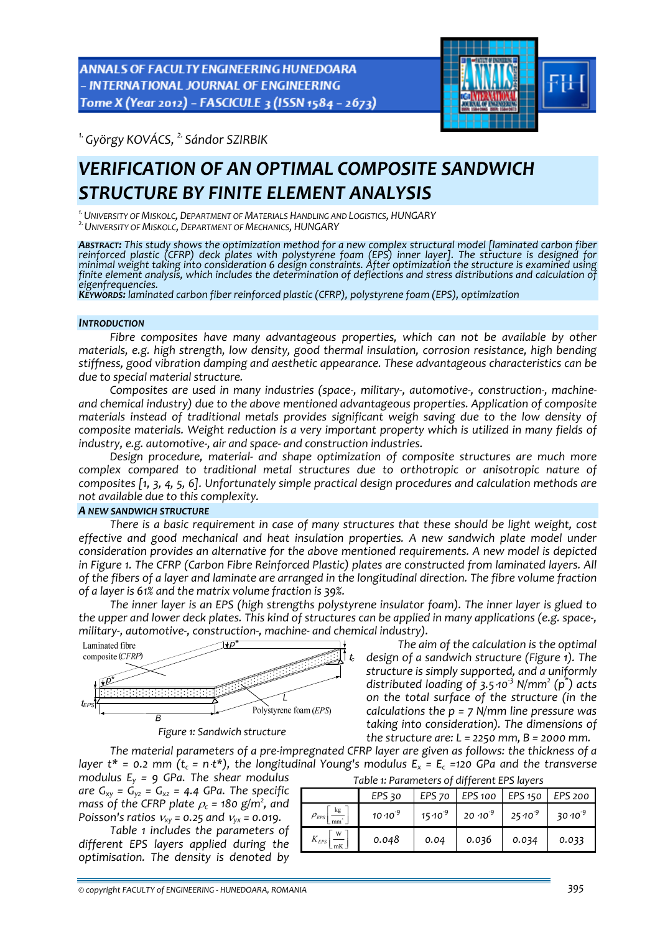ANNALS OF FACULTY ENGINEERING HUNEDOARA - INTERNATIONAL JOURNAL OF ENGINEERING Tome X (Year 2012) - FASCICULE 3 (ISSN 1584 - 2673)



*1.György KOVÁCS, 2. Sándor SZIRBIK* 

# *VERIFICATION OF AN OPTIMAL COMPOSITE SANDWICH STRUCTURE BY FINITE ELEMENT ANALYSIS*

<sup>1.</sup> UNIVERSITY OF MISKOLC, DEPARTMENT OF MATERIALS HANDLING AND LOGISTICS, HUNGARY<br><sup>2.</sup> UNIVERSITY OF MISKOLC, DEPARTMENT OF MECHANICS, HUNGARY

**ABSTRACT:** This study shows the optimization method for a new complex structural model [laminated carbon fiber reinforced plastic (CFRP) deck plates with polystyrene foam (EPS) inner layer]. The structure is designed for

#### *INTRODUCTION*

*Fibre composites have many advantageous properties, which can not be available by other materials, e.g. high strength, low density, good thermal insulation, corrosion resistance, high bending stiffness, good vibration damping and aesthetic appearance. These advantageous characteristics can be due to special material structure.*

Composites are used in many industries (space-, military-, automotive-, construction-, machine*and chemical industry) due to the above mentioned advantageous properties. Application of composite materials instead of traditional metals provides significant weigh saving due to the low density of composite materials. Weight reduction is a very important property which is utilized in many fields of industry, e.g. automotive‐, air and space‐ and construction industries.*

*Design procedure, material‐ and shape optimization of composite structures are much more complex compared to traditional metal structures due to orthotropic or anisotropic nature of composites [1, 3, 4, 5, 6]. Unfortunately simple practical design procedures and calculation methods are not available due to this complexity.*

#### *A NEW SANDWICH STRUCTURE*

*There is a basic requirement in case of many structures that these should be light weight, cost effective and good mechanical and heat insulation properties. A new sandwich plate model under consideration provides an alternative for the above mentioned requirements. A new model is depicted in Figure 1. The CFRP (Carbon Fibre Reinforced Plastic) plates are constructed from laminated layers. All* of the fibers of a layer and laminate are arranged in the longitudinal direction. The fibre volume fraction *of a layer is 61% and the matrix volume fraction is 39%.*

*The inner layer is an EPS (high strengths polystyrene insulator foam). The inner layer is glued to* the upper and lower deck plates. This kind of structures can be applied in many applications (e.g. space-, *military‐, automotive‐, construction‐, machine‐ and chemical industry).*



*Figure 1: Sandwich structure*

*The aim of the calculation is the optimal design of a sandwich structure (Figure 1). The structure is simply supported, and a uniformly distributed loading of 3.5*⋅*10‐<sup>3</sup> N/mm<sup>2</sup> (p\* ) acts on the total surface of the structure (in the calculations the p = 7 N/mm line pressure was taking into consideration). The dimensions of the structure are: L = 2250 mm, B = 2000 mm.*

*The material parameters of a pre‐impregnated CFRP layer are given as follows: the thickness of a* layer  $t^* = 0.2$  mm ( $t_c = n \cdot t^*$ ), the longitudinal Young's modulus  $E_x = E_c$  =120 GPa and the transverse *Table 1: Parameters of different EPS layers*

*modulus Ey = 9 GPa. The shear modulus are*  $G_{xy} = \dot{G}_{yz} = G_{xz} = 4.4$  *GPa. The specific mass of the <code>CFRP</code> plate*  $\rho_c$  *= 180 g/m<sup>2</sup>, and Poisson's ratios*  $v_{xy}$  = 0.25 *and*  $v_{yx}$  = 0.019.  $\rho_{\rm\scriptscriptstyle EPS}$ 

*Table 1 includes the parameters of different EPS layers applied during the optimisation. The density is denoted by*

|                        | EPS 30             | EPS <sub>70</sub> | EPS 100   EPS 150                     |                    | <b>EPS 200</b>      |
|------------------------|--------------------|-------------------|---------------------------------------|--------------------|---------------------|
| kg<br>$\rho_{\rm EPS}$ | $10 \cdot 10^{-9}$ |                   | $15 \cdot 10^{-9}$ 20 $\cdot 10^{-9}$ | $25 \cdot 10^{-9}$ | 30.10 <sup>-9</sup> |
| $K_{EPS}$              | 0.048              | 0.04              | 0.036                                 | 0.034              | 0.033               |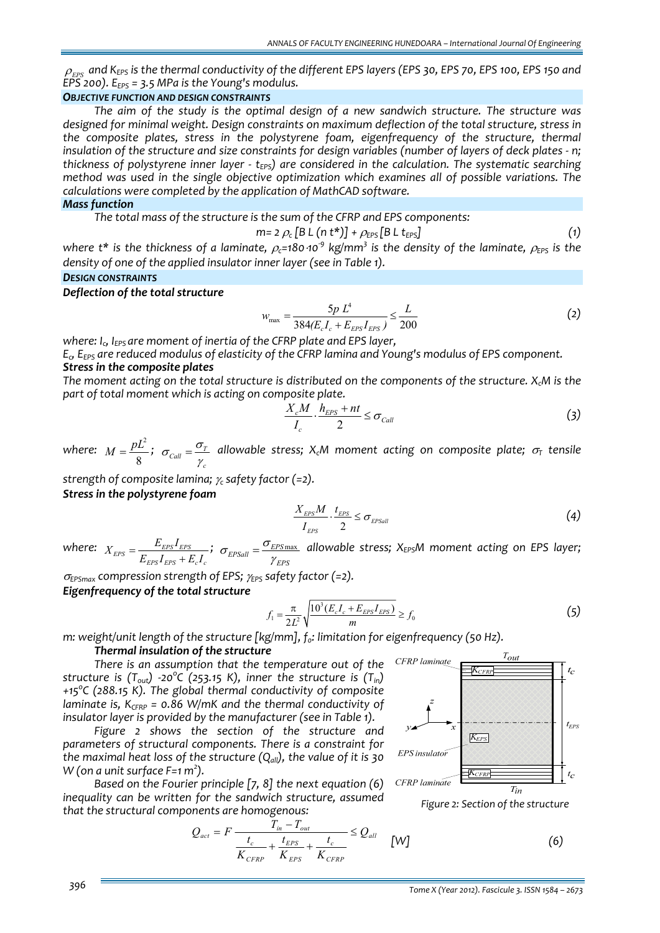$\rho_{\rm\scriptscriptstyle EPS}$  and K<sub>EPS</sub> is the thermal conductivity of the different EPS layers (EPS 30, EPS 70, EPS 100, EPS 150 and *EPS 200). EEPS = 3.5 MPa is the Young's modulus.*

### *OBJECTIVE FUNCTION AND DESIGN CONSTRAINTS*

*The aim of the study is the optimal design of a new sandwich structure. The structure was designed for minimal weight. Design constraints on maximum deflection of the total structure, stress in the composite plates, stress in the polystyrene foam, eigenfrequency of the structure, thermal* insulation of the structure and size constraints for design variables (number of layers of deck plates - n; *thickness* of polystyrene *inner layer - t<sub>EPS</sub>*) *are considered in* the *calculation.* The *systematic searching method was used in the single objective optimization which examines all of possible variations. The calculations were completed by the application of MathCAD software.*

# *Mass function*

*The total mass of the structure is the sum of the CFRP and EPS components:* 

$$
m = 2 \rho_c \left[ BL \left( n t^* \right) \right] + \rho_{EPS} \left[ BL \left( t_{EPS} \right) \right] \tag{1}
$$

where t\* is the thickness of a laminate,  $\rho_c$ =180.10<sup>9</sup> kg/mm<sup>3</sup> is the density of the laminate,  $\rho_{\text{EPS}}$  is the *density of one of the applied insulator inner layer (see in Table 1).*

### *DESIGN CONSTRAINTS*

*Deflection of the total structure*

$$
w_{\text{max}} = \frac{5p \ L^4}{384(E_c I_c + E_{ES} I_{ERS})} \le \frac{L}{200}
$$
 (2)

*where: Ic, IEPS are moment of inertia of the CFRP plate and EPS layer,*

*Ec, EEPS are reduced modulus of elasticity of the CFRP lamina and Young's modulus of EPS component. Stress in the composite plates*

The moment acting on the total structure is distributed on the components of the structure. X<sub>c</sub>M is the *part of total moment which is acting on composite plate.* 

$$
\frac{X_c M}{I_c} \cdot \frac{h_{EPS} + nt}{2} \le \sigma_{Call}
$$
 (3)

*where:*  $M = \frac{pL^2}{r^2}$ 8  $M = \frac{pL^2}{2}$ ;  $\sigma_{Call} = \frac{\sigma_{I}}{2}$ *c*  $\sigma_{\textit{Call}} = \frac{\sigma_{\textit{T}}}{\gamma_c}$  allowable stress;  $X_cM$  moment acting on composite plate;  $\sigma_{\textit{T}}$  tensile

*strength of composite lamina;* <sup>γ</sup>*<sup>c</sup> safety factor (=2).*

*Stress in the polystyrene foam* 

$$
\frac{X_{\text{EPS}}M}{I_{\text{EPS}}} \cdot \frac{t_{\text{EPS}}}{2} \le \sigma_{\text{EPSall}} \tag{4}
$$

 $where:$   $X_{EPS} = \frac{E_{EPS}I_{EPS}}{E_{EPS}I_{EPS} + E_{c}I_{c}}$  $X_{EPS} = \frac{E_{EPS}I_{EPS}}{E_{EPS}I_{EPS} + E_{c}I_{c}}$ <sup>;</sup>  $\sigma_{EPSall} = \frac{\sigma_{EPS\,max}}{\gamma_{EPS}}$  $\sigma_{\text{EPSall}} = \frac{\sigma_{\text{EPSmax}}}{\gamma_{\text{EPS}}}$  allowable stress; X<sub>EPS</sub>M moment acting on EPS layer;

<sup>σ</sup>*EPSmax compression strength of EPS;* <sup>γ</sup>*EPS safety factor (=2).*

# *Eigenfrequency of the total structure*

$$
f_1 = \frac{\pi}{2L^2} \sqrt{\frac{10^3 (E_c I_c + E_{EPS} I_{EPS})}{m}} \ge f_0
$$
 (5)

CFRP laminate

*m:* weight/unit length of the structure [kg/mm],  $f_0$ : limitation for eigenfrequency (50 Hz). *Thermal insulation of the structure*

*There is an assumption that the temperature out of the structure is (Tout) ‐20<sup>o</sup> C (253.15 K), inner the structure is (Tin) +15<sup>o</sup> C (288.15 K). The global thermal conductivity of composite laminate is,*  $K_{CFRP}$  = 0.86 *W*/mK *and the thermal conductivity of insulator layer is provided by the manufacturer (see in Table 1).*

*Figure 2 shows the section of the structure and parameters of structural components. There is a constraint for the maximal heat loss of the structure (Qall), the value of it is 30 W (on a unit surface F=1 m<sup>2</sup> ).*

*Based on the Fourier principle [7, 8] the next equation (6) inequality can be written for the sandwich structure, assumed that the structural components are homogenous:* 

$$
Q_{act} = F \frac{T_{in} - T_{out}}{K_{CFRP} + K_{EPS} + K_{CFRP}} \le Q_{all} \qquad [W] \tag{6}
$$

 $t_{EPS}$ 

 $t_{\epsilon}$ 

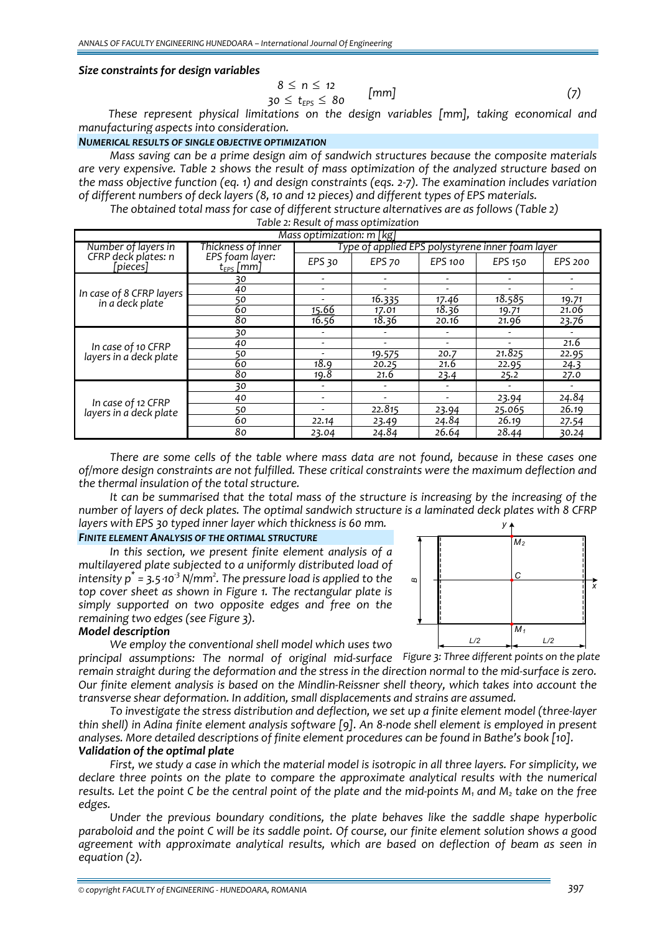# *Size constraints for design variables*

$$
8 \le n \le 12
$$
  
30 \le t<sub>eps</sub> \le 80 [mm] (7)

*These represent physical limitations on the design variables [mm], taking economical and manufacturing aspects into consideration.*

# *NUMERICAL RESULTS OF SINGLE OBJECTIVE OPTIMIZATION*

*Mass saving can be a prime design aim of sandwich structures because the composite materials are very expensive. Table 2 shows the result of mass optimization of the analyzed structure based on the mass objective function (eq. 1) and design constraints (eqs. 2‐7). The examination includes variation of different numbers of deck layers (8, 10 and 12 pieces) and different types of EPS materials.*

*The obtained total mass for case of different structure alternatives are as follows (Table 2)*

| Table 2: Result of mass optimization |  |
|--------------------------------------|--|
|--------------------------------------|--|

| Mass optimization: m [kg]                    |                                   |                                                  |               |                |                |                          |
|----------------------------------------------|-----------------------------------|--------------------------------------------------|---------------|----------------|----------------|--------------------------|
| Number of layers in                          | Thickness of inner                | Type of applied EPS polystyrene inner foam layer |               |                |                |                          |
| CFRP deck plates: n<br>[pieces]              | EPS foam layer:<br>$t_{EPS}$ [mm] | EPS 30                                           | <b>EPS 70</b> | <b>EPS 100</b> | <b>EPS 150</b> | EPS 200                  |
| In case of 8 CFRP layers<br>in a deck plate  | 30                                | ۰                                                |               |                |                |                          |
|                                              | 40                                | $\overline{\phantom{0}}$                         |               | Ξ.             |                | $\overline{\phantom{a}}$ |
|                                              | 50                                | $\overline{\phantom{a}}$                         | 16.335        | 17.46          | 18.585         | 19.71                    |
|                                              | 60                                | <u>15.66</u>                                     | 17.01         | 18.36          | 19.71          | 21.06                    |
|                                              | 80                                | 16.56                                            | 18.36         | 20.16          | 21.96          | 23.76                    |
| In case of 10 CFRP<br>layers in a deck plate | 30                                | ۰                                                |               |                |                |                          |
|                                              | 40                                |                                                  |               |                |                | 21.6                     |
|                                              | 50                                |                                                  | 19.575        | 20.7           | 21.825         | 22.95                    |
|                                              | 60                                | 18.9                                             | 20.25         | 21.6           | 22.95          | 24.3                     |
|                                              | 80                                | 19.8                                             | 21.6          | 23.4           | 25.2           | 27.0                     |
| In case of 12 CFRP<br>layers in a deck plate | 30                                |                                                  |               |                |                |                          |
|                                              | 40                                |                                                  |               |                | 23.94          | 24.84                    |
|                                              | 50                                |                                                  | 22.815        | 23.94          | 25.065         | 26.19                    |
|                                              | 60                                | 22.14                                            | 23.49         | 24.84          | 26.19          | 27.54                    |
|                                              | 80                                | 23.04                                            | 24.84         | 26.64          | 28.44          | 30.24                    |

*There are some cells of the table where mass data are not found, because in these cases one of/more design constraints are not fulfilled. These critical constraints were the maximum deflection and the thermal insulation of the total structure.*

*It can be summarised that the total mass of the structure is increasing by the increasing of the* number of layers of deck plates. The optimal sandwich structure is a laminated deck plates with 8 CFRP *layers with EPS 30 typed inner layer which thickness is 60 mm. y*

# *FINITE ELEMENT ANALYSIS OF THE ORTIMAL STRUCTURE*

*In this section, we present finite element analysis of a multilayered plate subjected to a uniformly distributed load of intensity p\* = 3.5*⋅*10‐<sup>3</sup> N/mm<sup>2</sup> . The pressure load is applied to the top cover sheet as shown in Figure 1. The rectangular plate is simply supported on two opposite edges and free on the remaining two edges (see Figure 3).* 

# *L/2 BM1 C L/2 M2 x*

# *Model description*

*We employ the conventional shell model which uses two*

*principal assumptions: The normal of original mid‐surface Figure 3: Three different points on the plate*remain straight during the deformation and the stress in the direction normal to the mid-surface is zero. Our finite element analysis is based on the Mindlin-Reissner shell theory, which takes into account the *transverse shear deformation. In addition, small displacements and strains are assumed.*

*To investigate the stress distribution and deflection, we set up a finite element model (three‐layer* thin shell) in Adina finite element analysis software [9]. An 8-node shell element is employed in present *analyses. More detailed descriptions of finite element procedures can be found in Bathe's book [10]. Validation of the optimal plate*

First, we study a case in which the material model is isotropic in all three layers. For simplicity, we *declare three points on the plate to compare the approximate analytical results with the numerical* results. Let the point C be the central point of the plate and the mid-points  $M_1$  and  $M_2$  take on the free *edges.*

*Under the previous boundary conditions, the plate behaves like the saddle shape hyperbolic* paraboloid and the point C will be its saddle point. Of course, our finite element solution shows a good *agreement with approximate analytical results, which are based on deflection of beam as seen in equation (2).*